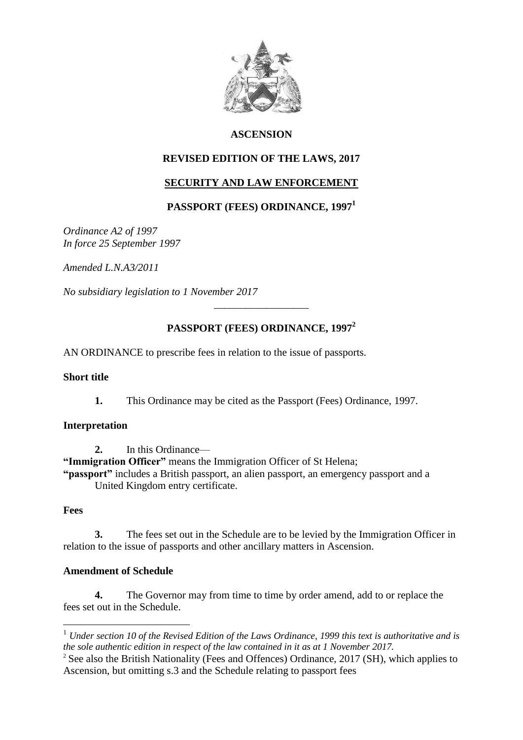

### **ASCENSION**

### **REVISED EDITION OF THE LAWS, 2017**

### **SECURITY AND LAW ENFORCEMENT**

## **PASSPORT (FEES) ORDINANCE, 1997<sup>1</sup>**

*Ordinance A2 of 1997 In force 25 September 1997*

*Amended L.N.A3/2011*

*No subsidiary legislation to 1 November 2017*

## **PASSPORT (FEES) ORDINANCE, 1997<sup>2</sup>**

\_\_\_\_\_\_\_\_\_\_\_\_\_\_\_\_\_\_

AN ORDINANCE to prescribe fees in relation to the issue of passports.

#### **Short title**

**1.** This Ordinance may be cited as the Passport (Fees) Ordinance, 1997.

#### **Interpretation**

**2.** In this Ordinance—

**"Immigration Officer"** means the Immigration Officer of St Helena;

**"passport"** includes a British passport, an alien passport, an emergency passport and a United Kingdom entry certificate.

#### **Fees**

1

**3.** The fees set out in the Schedule are to be levied by the Immigration Officer in relation to the issue of passports and other ancillary matters in Ascension.

#### **Amendment of Schedule**

**4.** The Governor may from time to time by order amend, add to or replace the fees set out in the Schedule.

<sup>1</sup> *Under section 10 of the Revised Edition of the Laws Ordinance, 1999 this text is authoritative and is the sole authentic edition in respect of the law contained in it as at 1 November 2017.*

<sup>&</sup>lt;sup>2</sup> See also the British Nationality (Fees and Offences) Ordinance, 2017 (SH), which applies to Ascension, but omitting s.3 and the Schedule relating to passport fees